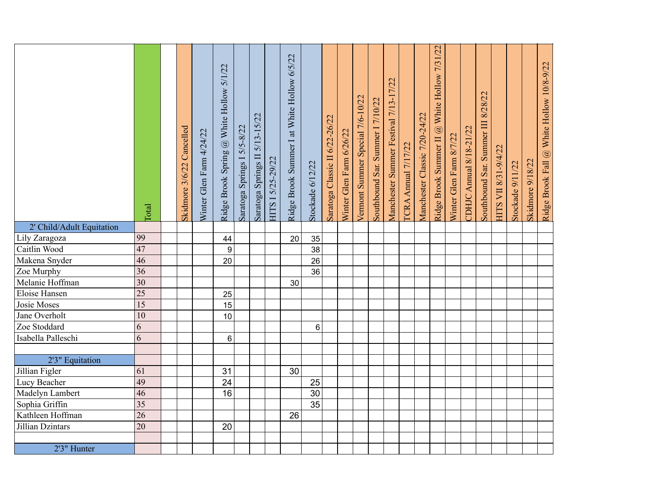| 2' Child/Adult Equitation          | <b>Total</b>          | Cancelled<br>Skidmore 3/6/22 | Winter Glen Farm 4/24/22 | 5/1/22<br>Ridge Brook Spring @ White Hollow | Saratoga Springs I 5/5-8/22 | $5/13 - 15/22$<br>Saratoga Springs II | HITS I 5/25-29/22 | Ridge Brook Summer I at White Hollow 6/5/22 | Stockade 6/12/22      | Saratoga Classic II 6/22-26/22 | Winter Glen Farm 6/26/22 | Vermont Summer Special 7/6-10/22 | Southbound Sar. Summer I 7/10/22 | Manchester Summer Festival 7/13-17/22 | ICRA Annual 7/17/22 | Manchester Classic 7/20-24/22 | White Hollow 7/31/22<br>$\circledB$<br><b>Ridge Brook Summer II</b> | Winter Glen Farm 8/7/22 | DHJC Annual 8/18-21/22 | 8/28/22<br>Southbound Sar. Summer III | HITS VII 8/31-9/4/22 | Stockade 9/11/22 | <b>Skidmore 9/18/22</b> | Ridge Brook Fall @ White Hollow 10/8-9/22 |
|------------------------------------|-----------------------|------------------------------|--------------------------|---------------------------------------------|-----------------------------|---------------------------------------|-------------------|---------------------------------------------|-----------------------|--------------------------------|--------------------------|----------------------------------|----------------------------------|---------------------------------------|---------------------|-------------------------------|---------------------------------------------------------------------|-------------------------|------------------------|---------------------------------------|----------------------|------------------|-------------------------|-------------------------------------------|
| Lily Zaragoza                      | 99                    |                              |                          | 44                                          |                             |                                       |                   | 20                                          | 35                    |                                |                          |                                  |                                  |                                       |                     |                               |                                                                     |                         |                        |                                       |                      |                  |                         |                                           |
| Caitlin Wood                       | 47                    |                              |                          | $\boldsymbol{9}$                            |                             |                                       |                   |                                             | 38                    |                                |                          |                                  |                                  |                                       |                     |                               |                                                                     |                         |                        |                                       |                      |                  |                         |                                           |
| Makena Snyder                      | 46                    |                              |                          | 20                                          |                             |                                       |                   |                                             | 26                    |                                |                          |                                  |                                  |                                       |                     |                               |                                                                     |                         |                        |                                       |                      |                  |                         |                                           |
| Zoe Murphy                         | $\overline{36}$       |                              |                          |                                             |                             |                                       |                   |                                             | 36                    |                                |                          |                                  |                                  |                                       |                     |                               |                                                                     |                         |                        |                                       |                      |                  |                         |                                           |
| Melanie Hoffman                    | $\overline{30}$       |                              |                          |                                             |                             |                                       |                   | 30                                          |                       |                                |                          |                                  |                                  |                                       |                     |                               |                                                                     |                         |                        |                                       |                      |                  |                         |                                           |
| Eloise Hansen                      | $\overline{25}$       |                              |                          | 25                                          |                             |                                       |                   |                                             |                       |                                |                          |                                  |                                  |                                       |                     |                               |                                                                     |                         |                        |                                       |                      |                  |                         |                                           |
| Josie Moses                        | $\overline{15}$       |                              |                          | 15                                          |                             |                                       |                   |                                             |                       |                                |                          |                                  |                                  |                                       |                     |                               |                                                                     |                         |                        |                                       |                      |                  |                         |                                           |
| Jane Overholt                      | 10                    |                              |                          | 10                                          |                             |                                       |                   |                                             |                       |                                |                          |                                  |                                  |                                       |                     |                               |                                                                     |                         |                        |                                       |                      |                  |                         |                                           |
| Zoe Stoddard                       | 6                     |                              |                          |                                             |                             |                                       |                   |                                             | 6                     |                                |                          |                                  |                                  |                                       |                     |                               |                                                                     |                         |                        |                                       |                      |                  |                         |                                           |
| Isabella Palleschi                 | 6                     |                              |                          | 6                                           |                             |                                       |                   |                                             |                       |                                |                          |                                  |                                  |                                       |                     |                               |                                                                     |                         |                        |                                       |                      |                  |                         |                                           |
|                                    |                       |                              |                          |                                             |                             |                                       |                   |                                             |                       |                                |                          |                                  |                                  |                                       |                     |                               |                                                                     |                         |                        |                                       |                      |                  |                         |                                           |
| 2'3" Equitation                    |                       |                              |                          |                                             |                             |                                       |                   |                                             |                       |                                |                          |                                  |                                  |                                       |                     |                               |                                                                     |                         |                        |                                       |                      |                  |                         |                                           |
| Jillian Figler                     | 61                    |                              |                          | 31                                          |                             |                                       |                   | 30                                          |                       |                                |                          |                                  |                                  |                                       |                     |                               |                                                                     |                         |                        |                                       |                      |                  |                         |                                           |
| Lucy Beacher                       | 49                    |                              |                          | 24                                          |                             |                                       |                   |                                             | 25                    |                                |                          |                                  |                                  |                                       |                     |                               |                                                                     |                         |                        |                                       |                      |                  |                         |                                           |
| Madelyn Lambert                    | 46<br>$\overline{35}$ |                              |                          | 16                                          |                             |                                       |                   |                                             | $\overline{30}$<br>35 |                                |                          |                                  |                                  |                                       |                     |                               |                                                                     |                         |                        |                                       |                      |                  |                         |                                           |
| Sophia Griffin<br>Kathleen Hoffman | $\overline{26}$       |                              |                          |                                             |                             |                                       |                   | 26                                          |                       |                                |                          |                                  |                                  |                                       |                     |                               |                                                                     |                         |                        |                                       |                      |                  |                         |                                           |
| Jillian Dzintars                   | 20                    |                              |                          | 20                                          |                             |                                       |                   |                                             |                       |                                |                          |                                  |                                  |                                       |                     |                               |                                                                     |                         |                        |                                       |                      |                  |                         |                                           |
|                                    |                       |                              |                          |                                             |                             |                                       |                   |                                             |                       |                                |                          |                                  |                                  |                                       |                     |                               |                                                                     |                         |                        |                                       |                      |                  |                         |                                           |
| 2'3" Hunter                        |                       |                              |                          |                                             |                             |                                       |                   |                                             |                       |                                |                          |                                  |                                  |                                       |                     |                               |                                                                     |                         |                        |                                       |                      |                  |                         |                                           |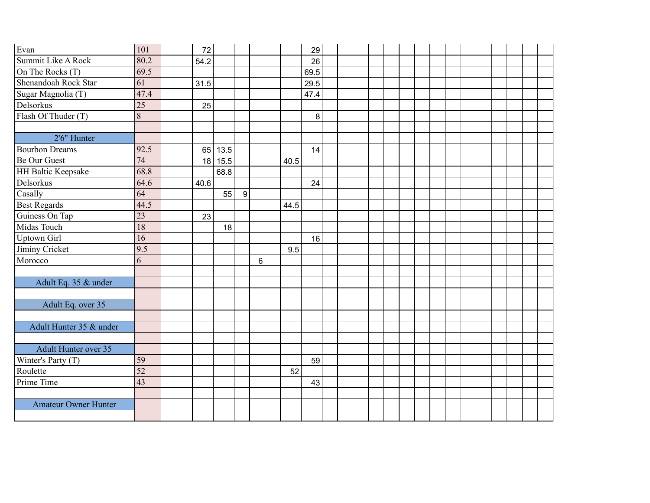| Evan                        | 101             |  | 72   |      |   |   |      | 29   |  |  |  |  |  |  |  |  |
|-----------------------------|-----------------|--|------|------|---|---|------|------|--|--|--|--|--|--|--|--|
| Summit Like A Rock          | 80.2            |  | 54.2 |      |   |   |      | 26   |  |  |  |  |  |  |  |  |
| On The Rocks (T)            | 69.5            |  |      |      |   |   |      | 69.5 |  |  |  |  |  |  |  |  |
| Shenandoah Rock Star        | 61              |  | 31.5 |      |   |   |      | 29.5 |  |  |  |  |  |  |  |  |
| Sugar Magnolia (T)          | 47.4            |  |      |      |   |   |      | 47.4 |  |  |  |  |  |  |  |  |
| Delsorkus                   | $\overline{25}$ |  | 25   |      |   |   |      |      |  |  |  |  |  |  |  |  |
| Flash Of Thuder (T)         | 8               |  |      |      |   |   |      | 8    |  |  |  |  |  |  |  |  |
|                             |                 |  |      |      |   |   |      |      |  |  |  |  |  |  |  |  |
| 2'6" Hunter                 |                 |  |      |      |   |   |      |      |  |  |  |  |  |  |  |  |
| <b>Bourbon Dreams</b>       | 92.5            |  | 65   | 13.5 |   |   |      | 14   |  |  |  |  |  |  |  |  |
| <b>Be Our Guest</b>         | 74              |  | 18   | 15.5 |   |   | 40.5 |      |  |  |  |  |  |  |  |  |
| <b>HH Baltic Keepsake</b>   | 68.8            |  |      | 68.8 |   |   |      |      |  |  |  |  |  |  |  |  |
| Delsorkus                   | 64.6            |  | 40.6 |      |   |   |      | 24   |  |  |  |  |  |  |  |  |
| Casally                     | 64              |  |      | 55   | 9 |   |      |      |  |  |  |  |  |  |  |  |
| <b>Best Regards</b>         | 44.5            |  |      |      |   |   | 44.5 |      |  |  |  |  |  |  |  |  |
| Guiness On Tap              | 23              |  | 23   |      |   |   |      |      |  |  |  |  |  |  |  |  |
| Midas Touch                 | 18              |  |      | 18   |   |   |      |      |  |  |  |  |  |  |  |  |
| <b>Uptown Girl</b>          | 16              |  |      |      |   |   |      | 16   |  |  |  |  |  |  |  |  |
| Jiminy Cricket              | 9.5             |  |      |      |   |   | 9.5  |      |  |  |  |  |  |  |  |  |
| Morocco                     | 6               |  |      |      |   | 6 |      |      |  |  |  |  |  |  |  |  |
|                             |                 |  |      |      |   |   |      |      |  |  |  |  |  |  |  |  |
| Adult Eq. 35 & under        |                 |  |      |      |   |   |      |      |  |  |  |  |  |  |  |  |
|                             |                 |  |      |      |   |   |      |      |  |  |  |  |  |  |  |  |
| Adult Eq. over 35           |                 |  |      |      |   |   |      |      |  |  |  |  |  |  |  |  |
|                             |                 |  |      |      |   |   |      |      |  |  |  |  |  |  |  |  |
| Adult Hunter 35 & under     |                 |  |      |      |   |   |      |      |  |  |  |  |  |  |  |  |
|                             |                 |  |      |      |   |   |      |      |  |  |  |  |  |  |  |  |
| Adult Hunter over 35        |                 |  |      |      |   |   |      |      |  |  |  |  |  |  |  |  |
| Winter's Party (T)          | 59              |  |      |      |   |   |      | 59   |  |  |  |  |  |  |  |  |
| Roulette                    | $\overline{52}$ |  |      |      |   |   | 52   |      |  |  |  |  |  |  |  |  |
| Prime Time                  | 43              |  |      |      |   |   |      | 43   |  |  |  |  |  |  |  |  |
|                             |                 |  |      |      |   |   |      |      |  |  |  |  |  |  |  |  |
| <b>Amateur Owner Hunter</b> |                 |  |      |      |   |   |      |      |  |  |  |  |  |  |  |  |
|                             |                 |  |      |      |   |   |      |      |  |  |  |  |  |  |  |  |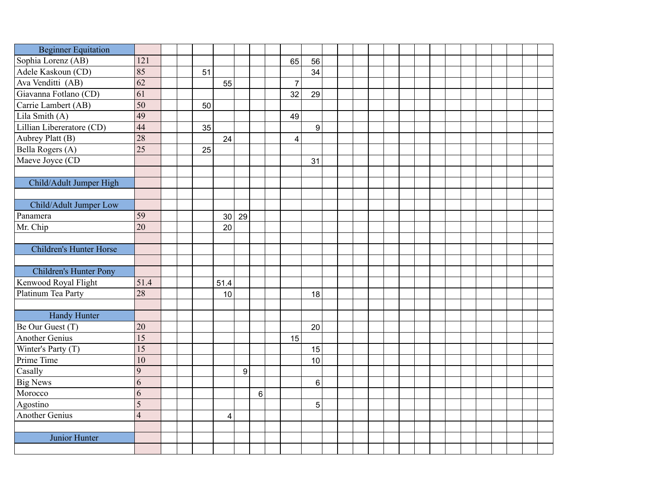| <b>Beginner Equitation</b>     |                 |  |    |                         |                  |         |                |                |  |  |  |  |  |  |  |  |
|--------------------------------|-----------------|--|----|-------------------------|------------------|---------|----------------|----------------|--|--|--|--|--|--|--|--|
| Sophia Lorenz (AB)             | 121             |  |    |                         |                  |         | 65             | 56             |  |  |  |  |  |  |  |  |
| Adele Kaskoun (CD)             | 85              |  | 51 |                         |                  |         |                | 34             |  |  |  |  |  |  |  |  |
| Ava Venditti (AB)              | $\overline{62}$ |  |    | 55                      |                  |         | $\overline{7}$ |                |  |  |  |  |  |  |  |  |
| Giavanna Fotlano (CD)          | $\overline{61}$ |  |    |                         |                  |         | 32             | 29             |  |  |  |  |  |  |  |  |
| Carrie Lambert (AB)            | 50              |  | 50 |                         |                  |         |                |                |  |  |  |  |  |  |  |  |
| Lila Smith (A)                 | 49              |  |    |                         |                  |         | 49             |                |  |  |  |  |  |  |  |  |
| Lillian Libereratore (CD)      | 44              |  | 35 |                         |                  |         |                | 9              |  |  |  |  |  |  |  |  |
| Aubrey Platt (B)               | 28              |  |    | 24                      |                  |         | $\overline{4}$ |                |  |  |  |  |  |  |  |  |
| Bella Rogers (A)               | $\overline{25}$ |  | 25 |                         |                  |         |                |                |  |  |  |  |  |  |  |  |
| Maeve Joyce (CD                |                 |  |    |                         |                  |         |                | 31             |  |  |  |  |  |  |  |  |
|                                |                 |  |    |                         |                  |         |                |                |  |  |  |  |  |  |  |  |
| Child/Adult Jumper High        |                 |  |    |                         |                  |         |                |                |  |  |  |  |  |  |  |  |
|                                |                 |  |    |                         |                  |         |                |                |  |  |  |  |  |  |  |  |
| Child/Adult Jumper Low         |                 |  |    |                         |                  |         |                |                |  |  |  |  |  |  |  |  |
| Panamera                       | 59              |  |    | 30                      | 29               |         |                |                |  |  |  |  |  |  |  |  |
| Mr. Chip                       | $\overline{20}$ |  |    | 20                      |                  |         |                |                |  |  |  |  |  |  |  |  |
|                                |                 |  |    |                         |                  |         |                |                |  |  |  |  |  |  |  |  |
| <b>Children's Hunter Horse</b> |                 |  |    |                         |                  |         |                |                |  |  |  |  |  |  |  |  |
|                                |                 |  |    |                         |                  |         |                |                |  |  |  |  |  |  |  |  |
| Children's Hunter Pony         |                 |  |    |                         |                  |         |                |                |  |  |  |  |  |  |  |  |
| Kenwood Royal Flight           | 51.4            |  |    | 51.4                    |                  |         |                |                |  |  |  |  |  |  |  |  |
| Platinum Tea Party             | 28              |  |    | 10                      |                  |         |                | 18             |  |  |  |  |  |  |  |  |
|                                |                 |  |    |                         |                  |         |                |                |  |  |  |  |  |  |  |  |
| <b>Handy Hunter</b>            |                 |  |    |                         |                  |         |                |                |  |  |  |  |  |  |  |  |
| Be Our Guest (T)               | 20              |  |    |                         |                  |         |                | 20             |  |  |  |  |  |  |  |  |
| <b>Another Genius</b>          | 15              |  |    |                         |                  |         | 15             |                |  |  |  |  |  |  |  |  |
| Winter's Party (T)             | 15              |  |    |                         |                  |         |                | 15             |  |  |  |  |  |  |  |  |
| Prime Time                     | 10              |  |    |                         |                  |         |                | 10             |  |  |  |  |  |  |  |  |
| Casally                        | 9               |  |    |                         | $\boldsymbol{9}$ |         |                |                |  |  |  |  |  |  |  |  |
| <b>Big News</b>                | 6               |  |    |                         |                  |         |                | $6\phantom{1}$ |  |  |  |  |  |  |  |  |
| Morocco                        | 6               |  |    |                         |                  | $\,6\,$ |                |                |  |  |  |  |  |  |  |  |
| Agostino                       | 5               |  |    |                         |                  |         |                | 5              |  |  |  |  |  |  |  |  |
| Another Genius                 | $\overline{4}$  |  |    | $\overline{\mathbf{4}}$ |                  |         |                |                |  |  |  |  |  |  |  |  |
|                                |                 |  |    |                         |                  |         |                |                |  |  |  |  |  |  |  |  |
| Junior Hunter                  |                 |  |    |                         |                  |         |                |                |  |  |  |  |  |  |  |  |
|                                |                 |  |    |                         |                  |         |                |                |  |  |  |  |  |  |  |  |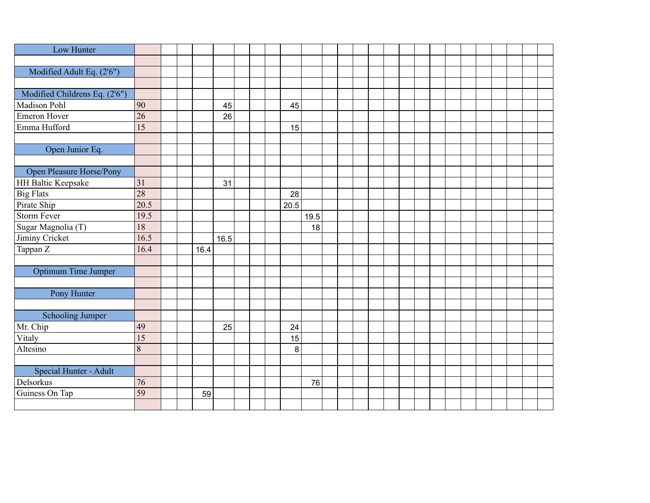| Low Hunter                    |                 |  |      |      |  |      |      |  |  |  |  |  |  |  |  |
|-------------------------------|-----------------|--|------|------|--|------|------|--|--|--|--|--|--|--|--|
|                               |                 |  |      |      |  |      |      |  |  |  |  |  |  |  |  |
| Modified Adult Eq. (2'6")     |                 |  |      |      |  |      |      |  |  |  |  |  |  |  |  |
|                               |                 |  |      |      |  |      |      |  |  |  |  |  |  |  |  |
| Modified Childrens Eq. (2'6") |                 |  |      |      |  |      |      |  |  |  |  |  |  |  |  |
| Madison Pohl                  | 90              |  |      | 45   |  | 45   |      |  |  |  |  |  |  |  |  |
| Emeron Hover                  | $\overline{26}$ |  |      | 26   |  |      |      |  |  |  |  |  |  |  |  |
| Emma Hufford                  | 15              |  |      |      |  | 15   |      |  |  |  |  |  |  |  |  |
|                               |                 |  |      |      |  |      |      |  |  |  |  |  |  |  |  |
| Open Junior Eq.               |                 |  |      |      |  |      |      |  |  |  |  |  |  |  |  |
|                               |                 |  |      |      |  |      |      |  |  |  |  |  |  |  |  |
| Open Pleasure Horse/Pony      |                 |  |      |      |  |      |      |  |  |  |  |  |  |  |  |
| <b>HH Baltic Keepsake</b>     | 31              |  |      | 31   |  |      |      |  |  |  |  |  |  |  |  |
| <b>Big Flats</b>              | 28              |  |      |      |  | 28   |      |  |  |  |  |  |  |  |  |
| Pirate Ship                   | 20.5            |  |      |      |  | 20.5 |      |  |  |  |  |  |  |  |  |
| <b>Storm Fever</b>            | 19.5            |  |      |      |  |      | 19.5 |  |  |  |  |  |  |  |  |
| Sugar Magnolia (T)            | 18              |  |      |      |  |      | 18   |  |  |  |  |  |  |  |  |
| Jiminy Cricket                | 16.5            |  |      | 16.5 |  |      |      |  |  |  |  |  |  |  |  |
| Tappan Z                      | 16.4            |  | 16.4 |      |  |      |      |  |  |  |  |  |  |  |  |
|                               |                 |  |      |      |  |      |      |  |  |  |  |  |  |  |  |
| Optimum Time Jumper           |                 |  |      |      |  |      |      |  |  |  |  |  |  |  |  |
|                               |                 |  |      |      |  |      |      |  |  |  |  |  |  |  |  |
| Pony Hunter                   |                 |  |      |      |  |      |      |  |  |  |  |  |  |  |  |
|                               |                 |  |      |      |  |      |      |  |  |  |  |  |  |  |  |
| <b>Schooling Jumper</b>       |                 |  |      |      |  |      |      |  |  |  |  |  |  |  |  |
| Mr. Chip                      | 49              |  |      | 25   |  | 24   |      |  |  |  |  |  |  |  |  |
| Vitaly                        | 15              |  |      |      |  | 15   |      |  |  |  |  |  |  |  |  |
| Altesino                      | 8               |  |      |      |  | 8    |      |  |  |  |  |  |  |  |  |
|                               |                 |  |      |      |  |      |      |  |  |  |  |  |  |  |  |
| Special Hunter - Adult        |                 |  |      |      |  |      |      |  |  |  |  |  |  |  |  |
| Delsorkus                     | 76              |  |      |      |  |      | 76   |  |  |  |  |  |  |  |  |
| Guiness On Tap                | 59              |  | 59   |      |  |      |      |  |  |  |  |  |  |  |  |
|                               |                 |  |      |      |  |      |      |  |  |  |  |  |  |  |  |